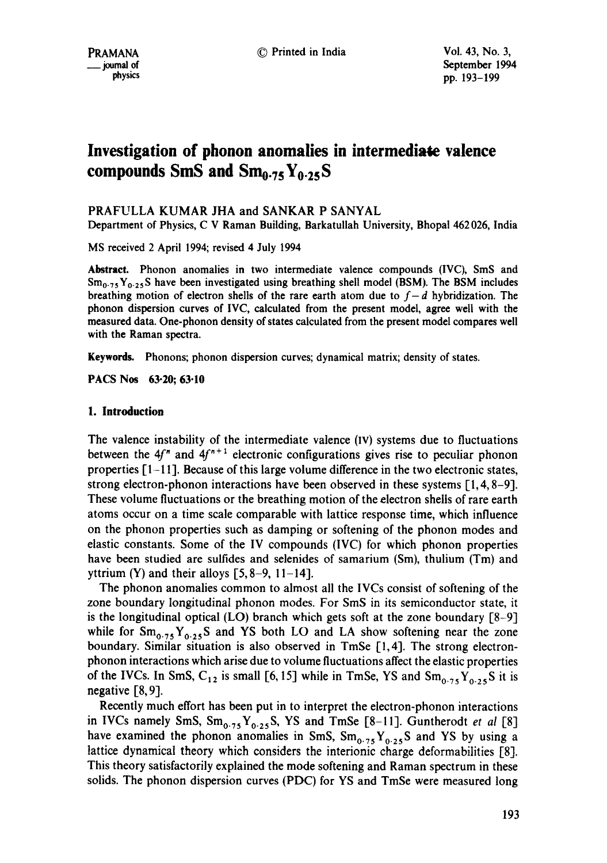PRAMANA © Printed in India Vol. 43, No. 3,  $\frac{1994}{200}$  of  $\frac{1994}{200}$   $\frac{103-100}{200}$ pp. 193-199

# **Investigation of phonon anomalies in intermediate valence compounds SinS and Smo.75Yo.25S**

# PRAFULLA KUMAR JHA and SANKAR P SANYAL

Department of Physics, C V Raman Building, Barkatullah University, Bhopal 462 026, India

MS received 2 April 1994; revised 4 July 1994

**Abstract.** Phonon anomalies in two intermediate valence compounds (IVC), SmS and  $Sm<sub>0.75</sub>Y<sub>0.25</sub>S$  have been investigated using breathing shell model (BSM). The BSM includes breathing motion of electron shells of the rare earth atom due to  $f-d$  hybridization. The phonon dispersion curves of IVC, calculated from the present model, agree well with the measured data. One-phonon density of states calculated from the present model compares well with the Raman spectra.

Keywords. Phonons; phonon dispersion curves; dynamical matrix; density of states.

**PACS Nos 63.20; 63.10** 

# **1. Introduction**

The valence instability of the intermediate valence (IV) systems due to fluctuations between the  $4f''$  and  $4f'' + 1$  electronic configurations gives rise to peculiar phonon properties  $\lceil 1-11 \rceil$ . Because of this large volume difference in the two electronic states, strong electron-phonon interactions have been observed in these systems [1, 4, 8-9]. These volume fluctuations or the breathing motion of the electron shells of rare earth atoms occur on a time scale comparable with lattice response time, which influence on the phonon properties such as damping or softening of the phonon modes and elastic constants. Some of the IV compounds (IVC) for which phonon properties have been studied are sulfides and selenides of samarium (Sm), thulium (Tm) and yttrium (Y) and their alloys  $[5, 8-9, 11-14]$ .

The phonon anomalies common to almost all the IVCs consist of softening of the zone boundary longitudinal phonon modes. For SmS in its semiconductor state, it is the longitudinal optical (LO) branch which gets soft at the zone boundary [8-9] while for  $Sm_{0.75}Y_{0.25}S$  and YS both LO and LA show softening near the zone boundary. Similar situation is also observed in TmSe [1,4]. The strong electronphonon interactions which arise due to volume fluctuations affect the elastic properties of the IVCs. In SmS,  $C_{12}$  is small [6, 15] while in TmSe, YS and  $Sm_{0.75}Y_{0.25}S$  it is negative [8, 9].

Recently much effort has been put in to interpret the electron-phonon interactions in IVCs namely SmS,  $Sm_{0.75}Y_{0.25}S$ , YS and TmSe [8-11]. Guntherodt *et al* [8] have examined the phonon anomalies in SmS,  $Sm_{0.75}Y_{0.25}S$  and YS by using a lattice dynamical theory which considers the interionic charge deformabilities [8]. This theory satisfactorily explained the mode softening and Raman spectrum in these solids. The phonon dispersion curves (PDC) for YS and TmSe were measured long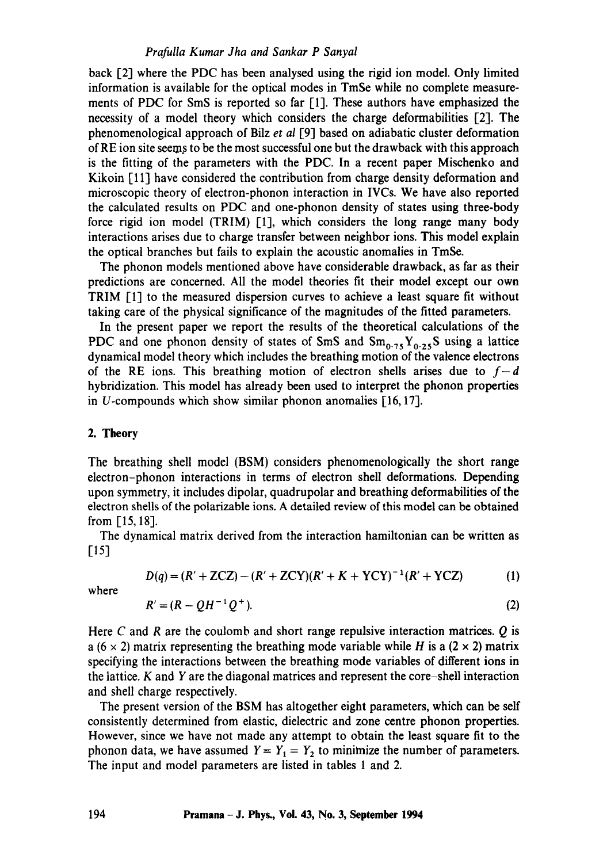#### *Prafulla Kumar Jha and Sankar P Sanyal*

back [2] where the PDC has been analysed using the rigid ion model. Only limited information is available for the optical modes in TmSe while no complete measurements of PDC for SmS is reported so far [1]. These authors have emphasized the necessity of a model theory which considers the charge deformabilities [2]. The phenomenological approach of Bilz *et al* [9] based on adiabatic cluster deformation of RE ion site seems to be the most successful one but the drawback with this approach is the fitting of the parameters with the PDC. In a recent paper Mischenko and Kikoin [11] have considered the contribution from charge density deformation and microscopic theory of electron-phonon interaction in IVCs. We have also reported the calculated results on PDC and one-phonon density of states using three-body force rigid ion model (TRIM) [1], which considers the long range many body interactions arises due to charge transfer between neighbor ions. This model explain the optical branches but fails to explain the acoustic anomalies in TmSe.

The phonon models mentioned above have considerable drawback, as far as their predictions are concerned. All the model theories fit their model except our own TRIM [1] to the measured dispersion curves to achieve a least square fit without taking care of the physical significance of the magnitudes of the fitted parameters.

In the present paper we report the results of the theoretical calculations of the PDC and one phonon density of states of SmS and  $Sm_{0.75}Y_{0.25}S$  using a lattice dynamical model theory which includes the breathing motion of the valence electrons of the RE ions. This breathing motion of electron shells arises due to  $f-d$ hybridization. This model has already been used to interpret the phonon properties in U-compounds which show similar phonon anomalies  $[16, 17]$ .

## 2. Theory

The breathing shell model (BSM) considers phenomenologically the short range electron-phonon interactions in terms of electron shell deformations. Depending upon symmetry, it includes dipolar, quadrupolar and breathing deformabilities of the electron shells of the polarizable ions. A detailed review of this model can be obtained from [15, 18].

The dynamical matrix derived from the interaction hamiltonian can be written as [15]

$$
D(q) = (R' + ZCZ) - (R' + ZCY)(R' + K + YCY)^{-1}(R' + YCZ)
$$
 (1)

where

$$
R' = (R - QH^{-1}Q^{+}).
$$
 (2)

Here C and R are the coulomb and short range repulsive interaction matrices.  $Q$  is a (6  $\times$  2) matrix representing the breathing mode variable while H is a (2  $\times$  2) matrix specifying the interactions between the breathing mode variables of different ions in the lattice. K and Y are the diagonal matrices and represent the core-shell interaction and shell charge respectively.

The present version of the BSM has altogether eight parameters, which can be self consistently determined from elastic, dielectric and zone centre phonon properties. However, since we have not made any attempt to obtain the least square fit to the phonon data, we have assumed  $Y = Y_1 = Y_2$  to minimize the number of parameters. The input and model parameters are listed in tables 1 and 2.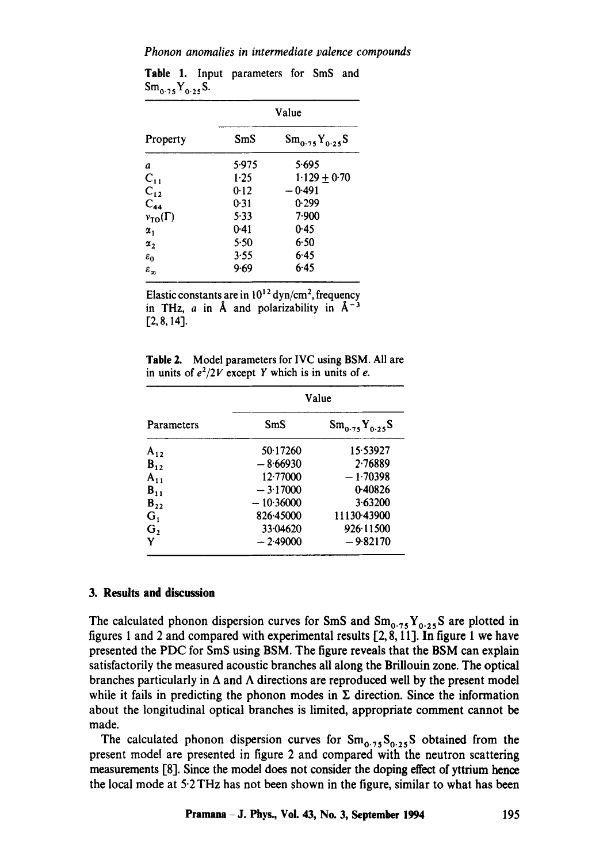*Phonon anomalies in intermediate palence compounds* 

| Property               | Value |                      |
|------------------------|-------|----------------------|
|                        | SmS   | $Sm_{0.75}Y_{0.25}S$ |
| а                      | 5.975 | 5.695                |
| $C_{11}$               | 1.25  | $1.129 + 0.70$       |
| $C_{12}$               | 0.12  | $-0.491$             |
| $C_{44}$               | 0.31  | 0.299                |
| $v_{TO}(\Gamma)$       | 5.33  | 7.900                |
| $\alpha,$              | 0.41  | 0.45                 |
| $\alpha_{2}$           | 5.50  | 6.50                 |
| $\varepsilon_0$        | 3.55  | 6.45                 |
| $\varepsilon_{\infty}$ | 9.69  | 6.45                 |

**Table** 1. Input parameters for SmS and  $Sm_{0.75}Y_{0.25}S$ .

Elastic constants are in  $10^{12}$  dyn/cm<sup>2</sup>, frequency in THz,  $a$  in  $\AA$  and polarizability in  $\AA^{-3}$ [2, 8,14].

**Table** 2. Model parameters for IVC using BSM. All are in units of  $e^2/2V$  except Y which is in units of e.

| Parameters     | Value       |                      |
|----------------|-------------|----------------------|
|                | SmS         | $Sm_{0.75}Y_{0.25}S$ |
| $A_{12}$       | 50.17260    | 15.53927             |
| $B_{12}$       | $-8.66930$  | 2.76889              |
| $A_{11}$       | 12.77000    | $-1.70398$           |
| $B_{11}$       | $-3.17000$  | 0.40826              |
| $B_{22}$       | $-10.36000$ | 3.63200              |
| $G_1$          | 826.45000   | 11130-43900          |
| G <sub>2</sub> | 33.04620    | 926.11500            |
| Y              | $-2.49000$  | $-9.82170$           |

# **3. Results and discussion**

The calculated phonon dispersion curves for SmS and  $Sm_{0.75}Y_{0.25}S$  are plotted in figures 1 and 2 and compared with experimental results [2, 8, 11]. In figure 1 we have presented the PDC for SmS using BSM. The figure reveals that the BSM can explain satisfactorily the measured acoustic branches all along the BriUouin zone. The optical branches particularly in  $\Delta$  and  $\Lambda$  directions are reproduced well by the present model while it fails in predicting the phonon modes in  $\Sigma$  direction. Since the information about the longitudinal optical branches is limited, appropriate comment cannot be made.

The calculated phonon dispersion curves for  $Sm_{0.75}S_{0.25}S$  obtained from the present model are presented in figure 2 and compared with the neutron scattering measurements [8]. Since the model does not consider the doping effect of yttrium hence the local mode at 5.2 THz has not been shown in the figure, similar to what has been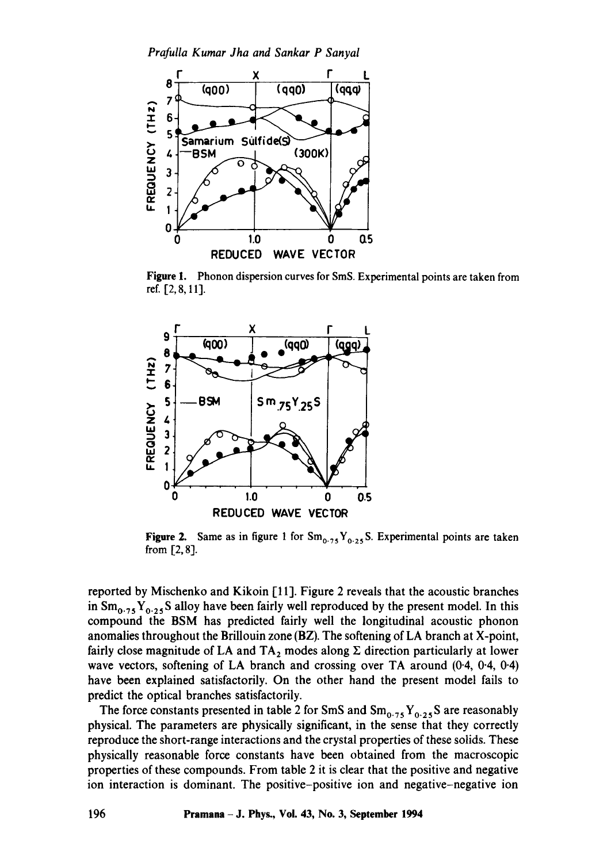

**Figure** 1. Phonon dispersion curves for SmS. Experimental points are taken from ref. [2,8, 11].



**Figure 2.** Same as in figure 1 for  $Sm_{0.75}Y_{0.25}S$ . Experimental points are taken from [2, 8].

reported by Mischenko and Kikoin [11]. Figure 2 reveals that the acoustic branches in  $\text{Sm}_{0.75} \text{Y}_{0.25}$ S alloy have been fairly well reproduced by the present model. In this compound the BSM has predicted fairly well the longitudinal acoustic phonon anomalies throughout the Brillouin zone (BZ). The softening of LA branch at X-point, fairly close magnitude of LA and  $TA_2$  modes along  $\Sigma$  direction particularly at lower wave vectors, softening of LA branch and crossing over TA around (0.4, 0.4, 0.4) have been explained satisfactorily. On the other hand the present model fails to predict the optical branches satisfactorily.

The force constants presented in table 2 for SmS and  $Sm_{0.75}Y_{0.25}S$  are reasonably physical. The parameters are physically significant, in the sense that they correctly reproduce the short-range interactions and the crystal properties of these solids. These physically reasonable force constants have been obtained from the macroscopic properties of these compounds. From table 2 it is clear that the positive and negative ion interaction is dominant. The positive-positive ion and negative-negative ion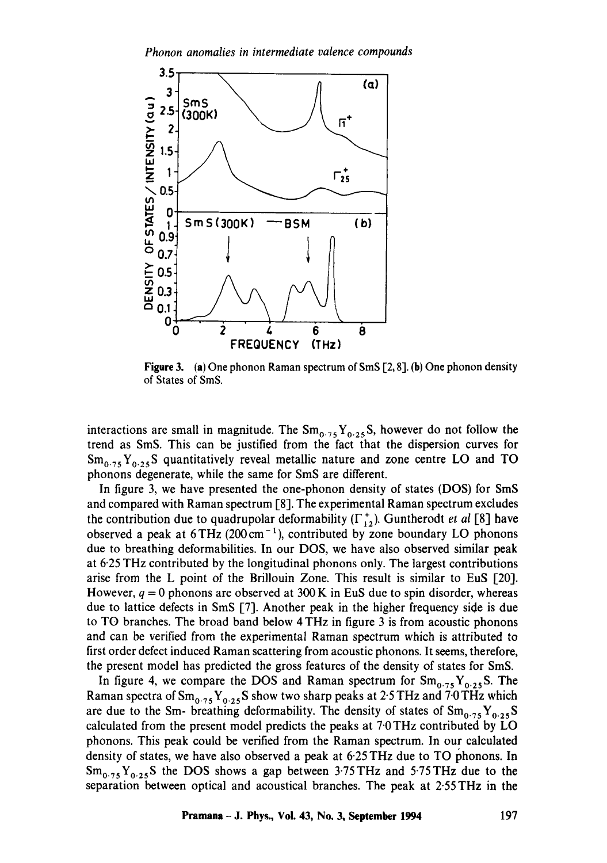

**Figure** 3. (a) One phonon Raman spectrum of SmS [2, 8]. (b) One phonon density of States of SmS.

interactions are small in magnitude. The  $Sm_{0.75}Y_{0.25}S$ , however do not follow the trend as SmS. This can be justified from the fact that the dispersion curves for  $Sm_{0.75}Y_{0.25}S$  quantitatively reveal metallic nature and zone centre LO and TO phonons degenerate, while the same for SmS are different.

In figure 3, we have presented the one-phonon density of states (DOS) for SmS and compared with Raman spectrum [8]. The experimental Raman spectrum excludes the contribution due to quadrupolar deformability  $(\Gamma_{12}^+)$ . Guntherodt *et al* [8] have observed a peak at  $6THz$  (200 cm<sup>-1</sup>), contributed by zone boundary LO phonons due to breathing deformabilities. In our DOS, we have also observed similar peak at 6.25 THz contributed by the longitudinal phonons only. The largest contributions arise from the L point of the Brillouin Zone. This result is similar to EuS [20]. However,  $q = 0$  phonons are observed at 300 K in EuS due to spin disorder, whereas due to lattice defects in SmS [7]. Another peak in the higher frequency side is due to TO branches. The broad band below 4 THz in figure 3 is from acoustic phonons and can be verified from the experimental Raman spectrum which is attributed to first order defect induced Raman scattering from acoustic phonons. It seems, therefore, the present model has predicted the gross features of the density of states for SmS.

In figure 4, we compare the DOS and Raman spectrum for  $Sm_{0.75}Y_{0.25}S$ . The Raman spectra of  $Sm_{0.75}Y_{0.25}S$  show two sharp peaks at 2.5 THz and 7.0 THz which are due to the Sm- breathing deformability. The density of states of  $Sm_{0.75}Y_{0.25}S$ calculated from the present model predicts the peaks at 7<sup>.</sup>0 THz contributed by LO phonons. This peak could be verified from the Raman spectrum. In our calculated density of states, we have also observed a peak at 6.25 THz due to TO phonons. In  $Sm_{0.75}Y_{0.25}S$  the DOS shows a gap between 3.75 THz and 5.75 THz due to the separation between optical and acoustical branches. The peak at 2.55 THz in the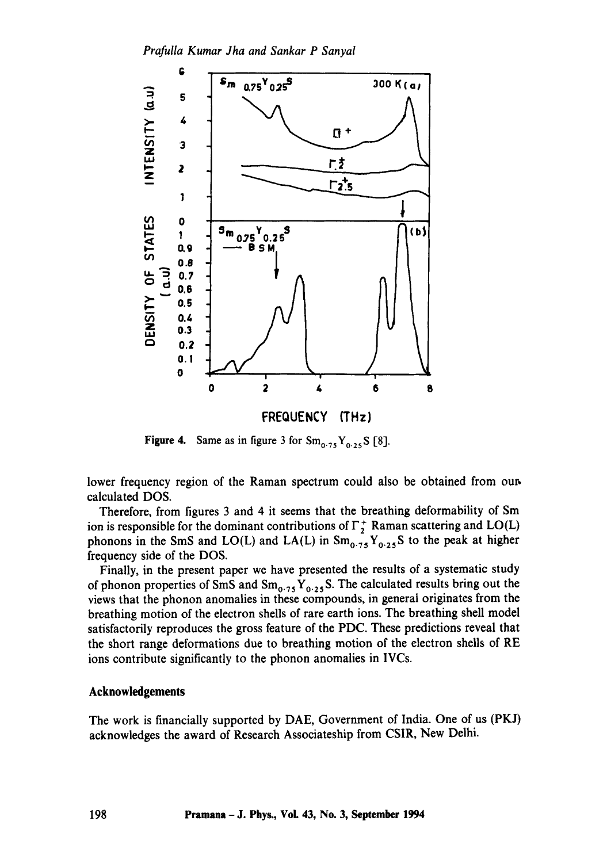

**Figure 4.** Same as in figure 3 for  $Sm_{0.75}Y_{0.25}S$  [8].

lower frequency region of the Raman spectrum could also be obtained from our. calculated DOS.

Therefore, from figures 3 and 4 it seems that the breathing deformability of Sm ion is responsible for the dominant contributions of  $\Gamma_2^+$  Raman scattering and LO(L) phonons in the SmS and LO(L) and LA(L) in  $Sm_{0.75}Y_{0.25}S$  to the peak at higher frequency side of the DOS.

Finally, in the present paper we have presented the results of a systematic study of phonon properties of SmS and  $Sm_{0.75}Y_{0.25}S$ . The calculated results bring out the views that the phonon anomalies in these compounds, in general originates from the breathing motion of the electron shells of rare earth ions. The breathing shell model satisfactorily reproduces the gross feature of the PDC. These predictions reveal that the short range deformations due to breathing motion of the electron shells of RE ions contribute significantly to the phonon anomalies in IVCs.

# Acknowledgements

The work is financially supported by DAE, Government of India. One of us (PKJ) acknowledges the award of Research Assoeiateship from CSIR, New Delhi.